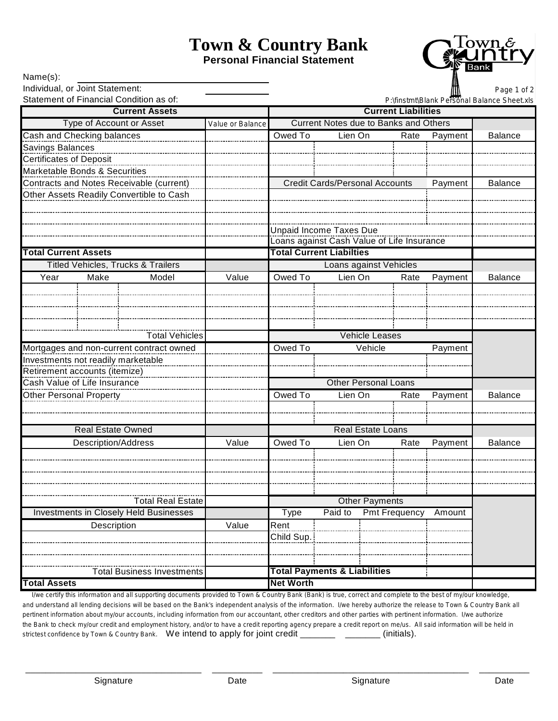# **Town & Country Bank**

**Personal Financial Statement**



| Name(s):                                                                   |                            |                                               |                  |                                             |                                 |                                              |         |                |
|----------------------------------------------------------------------------|----------------------------|-----------------------------------------------|------------------|---------------------------------------------|---------------------------------|----------------------------------------------|---------|----------------|
| Individual, or Joint Statement:<br>Statement of Financial Condition as of: |                            |                                               |                  |                                             |                                 |                                              |         | Page 1 of 2    |
|                                                                            |                            |                                               |                  | P:\finstmt\Blank Personal Balance Sheet.xls |                                 |                                              |         |                |
| <b>Current Assets</b>                                                      |                            |                                               |                  |                                             |                                 | <b>Current Liabilities</b>                   |         |                |
| <b>Type of Account or Asset</b>                                            |                            |                                               | Value or Balance |                                             |                                 | <b>Current Notes due to Banks and Others</b> |         |                |
| Cash and Checking balances                                                 |                            |                                               |                  | Owed To                                     | Lien On                         | Rate                                         | Payment | <b>Balance</b> |
| Savings Balances                                                           |                            |                                               |                  |                                             |                                 |                                              |         |                |
| <b>Certificates of Deposit</b>                                             |                            |                                               |                  |                                             |                                 |                                              |         |                |
| Marketable Bonds & Securities                                              |                            |                                               |                  |                                             |                                 |                                              |         |                |
|                                                                            |                            | Contracts and Notes Receivable (current)      |                  |                                             |                                 | <b>Credit Cards/Personal Accounts</b>        | Payment | <b>Balance</b> |
|                                                                            |                            | Other Assets Readily Convertible to Cash      |                  |                                             |                                 |                                              |         |                |
|                                                                            |                            |                                               |                  |                                             |                                 |                                              |         |                |
|                                                                            |                            |                                               |                  |                                             |                                 |                                              |         |                |
|                                                                            |                            |                                               |                  |                                             | <b>Unpaid Income Taxes Due</b>  |                                              |         |                |
| <b>Total Current Assets</b>                                                |                            |                                               |                  |                                             | <b>Total Current Liabilties</b> | Loans against Cash Value of Life Insurance   |         |                |
|                                                                            |                            | <b>Titled Vehicles, Trucks &amp; Trailers</b> |                  |                                             |                                 | <b>Loans against Vehicles</b>                |         |                |
|                                                                            |                            |                                               |                  |                                             |                                 |                                              |         |                |
| Year                                                                       | Make                       | Model                                         | Value            | Owed To                                     | Lien On                         | Rate                                         | Payment | <b>Balance</b> |
|                                                                            |                            |                                               |                  |                                             |                                 |                                              |         |                |
|                                                                            |                            |                                               |                  |                                             |                                 |                                              |         |                |
|                                                                            |                            |                                               |                  |                                             |                                 |                                              |         |                |
|                                                                            |                            | <b>Total Vehicles</b>                         |                  |                                             |                                 | <b>Vehicle Leases</b>                        |         |                |
|                                                                            |                            | Mortgages and non-current contract owned      |                  | Owed To                                     |                                 | Vehicle                                      | Payment |                |
| Investments not readily marketable                                         |                            |                                               |                  |                                             |                                 |                                              |         |                |
| Retirement accounts (itemize)                                              |                            |                                               |                  |                                             |                                 |                                              |         |                |
| Cash Value of Life Insurance                                               |                            |                                               |                  |                                             |                                 | <b>Other Personal Loans</b>                  |         |                |
| Other Personal Property                                                    |                            |                                               |                  | Owed To                                     | Lien On                         | Rate                                         | Payment | <b>Balance</b> |
|                                                                            |                            |                                               |                  |                                             |                                 |                                              |         |                |
|                                                                            |                            |                                               |                  |                                             |                                 |                                              |         |                |
|                                                                            | <b>Real Estate Owned</b>   |                                               |                  |                                             |                                 | <b>Real Estate Loans</b>                     |         |                |
|                                                                            | <b>Description/Address</b> |                                               | Value            | Owed To                                     | Lien On                         | Rate                                         | Payment | <b>Balance</b> |
|                                                                            |                            |                                               |                  |                                             |                                 |                                              |         |                |
|                                                                            |                            |                                               |                  |                                             |                                 |                                              |         |                |
|                                                                            |                            |                                               |                  |                                             |                                 |                                              |         |                |
|                                                                            |                            |                                               |                  |                                             |                                 |                                              |         |                |
| <b>Total Real Estate</b>                                                   |                            |                                               |                  |                                             | <b>Other Payments</b>           |                                              |         |                |
| <b>Investments in Closely Held Businesses</b>                              |                            |                                               | <b>Type</b>      | Paid to                                     | <b>Pmt Frequency</b>            | Amount                                       |         |                |
| Description                                                                |                            | Value                                         | Rent             |                                             |                                 |                                              |         |                |
|                                                                            |                            |                                               | Child Sup.       |                                             |                                 |                                              |         |                |
|                                                                            |                            |                                               |                  |                                             |                                 |                                              |         |                |
|                                                                            |                            |                                               |                  |                                             |                                 |                                              |         |                |
| <b>Total Business Investments</b>                                          |                            |                                               |                  | <b>Total Payments &amp; Liabilities</b>     |                                 |                                              |         |                |
| <b>Total Assets</b>                                                        |                            |                                               | <b>Net Worth</b> |                                             |                                 |                                              |         |                |

 I/we certify this information and all supporting documents provided to Town & Country Bank (Bank) is true, correct and complete to the best of my/our knowledge, and understand all lending decisions will be based on the Bank's independent analysis of the information. I/we hereby authorize the release to Town & Country Bank all pertinent information about my/our accounts, including information from our accountant, other creditors and other parties with pertinent information. I/we authorize the Bank to check my/our credit and employment history, and/or to have a credit reporting agency prepare a credit report on me/us. All said information will be held in strictest confidence by Town & Country Bank. We intend to apply for joint credit \_\_\_\_\_\_\_ \_\_\_\_\_\_\_ (initials).

\_\_\_\_\_\_\_\_\_\_\_\_\_\_\_\_\_\_\_\_\_\_\_\_\_\_\_\_\_\_\_\_\_\_\_ \_\_\_\_\_\_\_\_\_\_ \_\_\_\_\_\_\_\_\_\_\_\_\_\_\_\_\_\_\_\_\_\_\_\_\_\_\_\_\_\_\_\_\_\_\_\_\_\_\_ \_\_\_\_\_\_\_\_\_\_